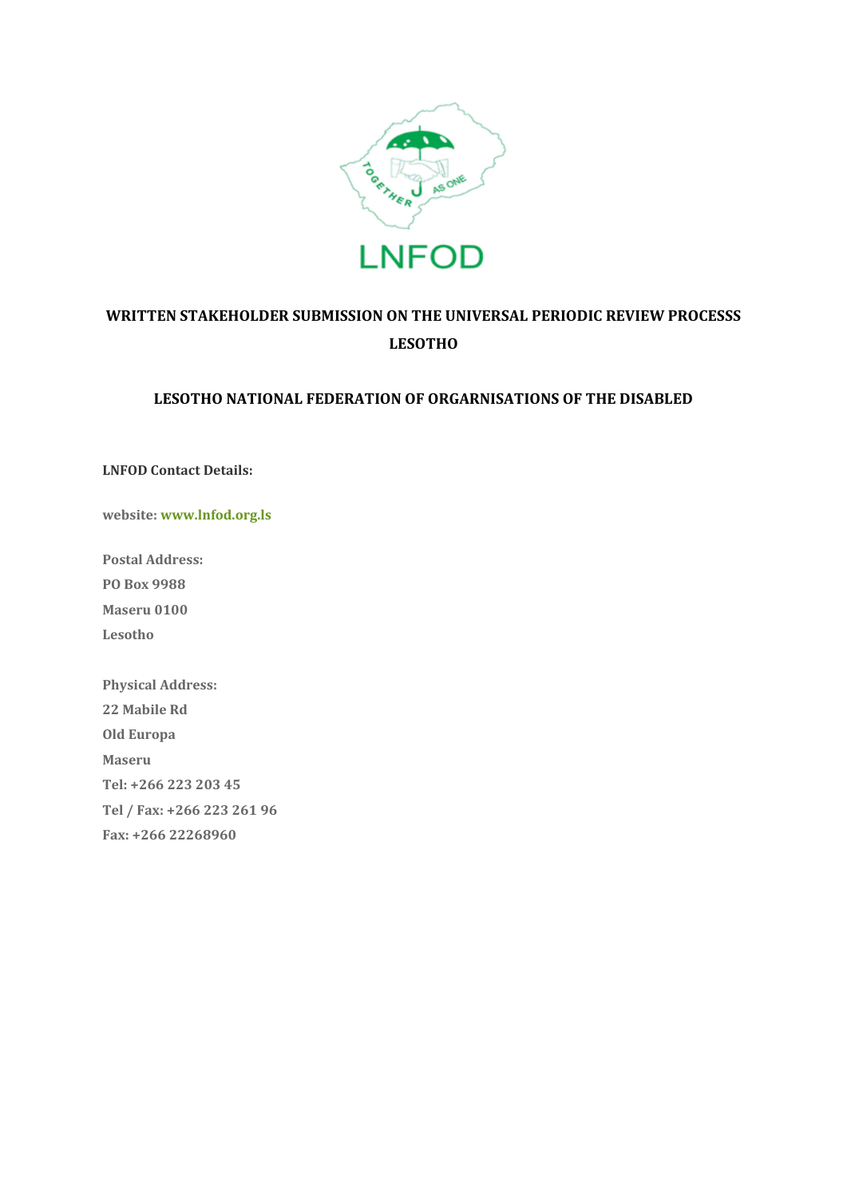

# **WRITTEN STAKEHOLDER SUBMISSION ON THE UNIVERSAL PERIODIC REVIEW PROCESSS LESOTHO**

#### **LESOTHO NATIONAL FEDERATION OF ORGARNISATIONS OF THE DISABLED**

**LNFOD Contact Details:** 

**website: [www.lnfod.org.ls](http://www.lnfod.org.ls/)**

**Postal Address: PO Box 9988 Maseru 0100 Lesotho**

**Physical Address: 22 Mabile Rd Old Europa Maseru Tel: +266 223 203 45 Tel / Fax: +266 223 261 96 Fax: +266 22268960**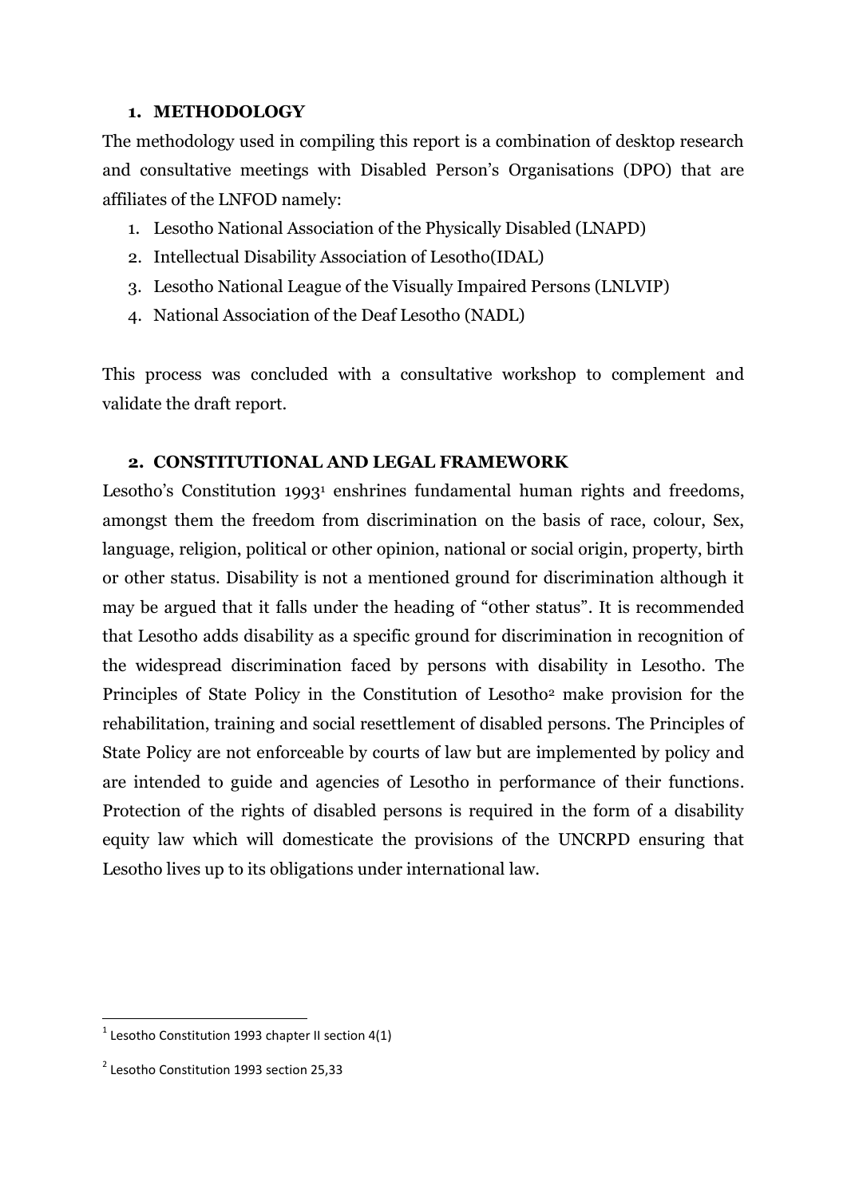#### **1. METHODOLOGY**

The methodology used in compiling this report is a combination of desktop research and consultative meetings with Disabled Person's Organisations (DPO) that are affiliates of the LNFOD namely:

- 1. Lesotho National Association of the Physically Disabled (LNAPD)
- 2. Intellectual Disability Association of Lesotho(IDAL)
- 3. Lesotho National League of the Visually Impaired Persons (LNLVIP)
- 4. National Association of the Deaf Lesotho (NADL)

This process was concluded with a consultative workshop to complement and validate the draft report.

#### **2. CONSTITUTIONAL AND LEGAL FRAMEWORK**

Lesotho's Constitution 1993<sup>1</sup> enshrines fundamental human rights and freedoms, amongst them the freedom from discrimination on the basis of race, colour, Sex, language, religion, political or other opinion, national or social origin, property, birth or other status. Disability is not a mentioned ground for discrimination although it may be argued that it falls under the heading of "0ther status". It is recommended that Lesotho adds disability as a specific ground for discrimination in recognition of the widespread discrimination faced by persons with disability in Lesotho. The Principles of State Policy in the Constitution of Lesotho<sup>2</sup> make provision for the rehabilitation, training and social resettlement of disabled persons. The Principles of State Policy are not enforceable by courts of law but are implemented by policy and are intended to guide and agencies of Lesotho in performance of their functions. Protection of the rights of disabled persons is required in the form of a disability equity law which will domesticate the provisions of the UNCRPD ensuring that Lesotho lives up to its obligations under international law.

**.** 

 $1$  Lesotho Constitution 1993 chapter II section 4(1)

<sup>&</sup>lt;sup>2</sup> Lesotho Constitution 1993 section 25,33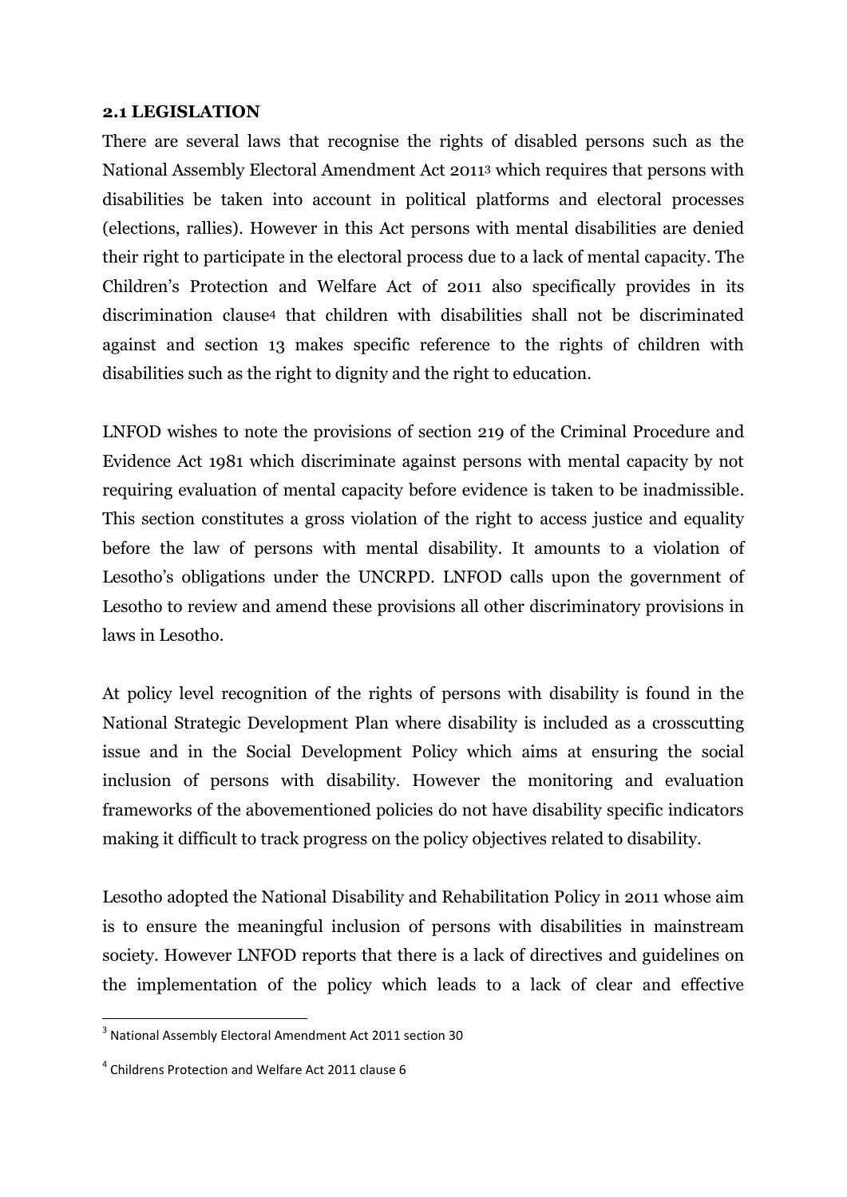#### **2.1 LEGISLATION**

There are several laws that recognise the rights of disabled persons such as the National Assembly Electoral Amendment Act 2011<sup>3</sup> which requires that persons with disabilities be taken into account in political platforms and electoral processes (elections, rallies). However in this Act persons with mental disabilities are denied their right to participate in the electoral process due to a lack of mental capacity. The Children's Protection and Welfare Act of 2011 also specifically provides in its discrimination clause<sup>4</sup> that children with disabilities shall not be discriminated against and section 13 makes specific reference to the rights of children with disabilities such as the right to dignity and the right to education.

LNFOD wishes to note the provisions of section 219 of the Criminal Procedure and Evidence Act 1981 which discriminate against persons with mental capacity by not requiring evaluation of mental capacity before evidence is taken to be inadmissible. This section constitutes a gross violation of the right to access justice and equality before the law of persons with mental disability. It amounts to a violation of Lesotho's obligations under the UNCRPD. LNFOD calls upon the government of Lesotho to review and amend these provisions all other discriminatory provisions in laws in Lesotho.

At policy level recognition of the rights of persons with disability is found in the National Strategic Development Plan where disability is included as a crosscutting issue and in the Social Development Policy which aims at ensuring the social inclusion of persons with disability. However the monitoring and evaluation frameworks of the abovementioned policies do not have disability specific indicators making it difficult to track progress on the policy objectives related to disability.

Lesotho adopted the National Disability and Rehabilitation Policy in 2011 whose aim is to ensure the meaningful inclusion of persons with disabilities in mainstream society. However LNFOD reports that there is a lack of directives and guidelines on the implementation of the policy which leads to a lack of clear and effective

**.** 

<sup>&</sup>lt;sup>3</sup> National Assembly Electoral Amendment Act 2011 section 30

<sup>&</sup>lt;sup>4</sup> Childrens Protection and Welfare Act 2011 clause 6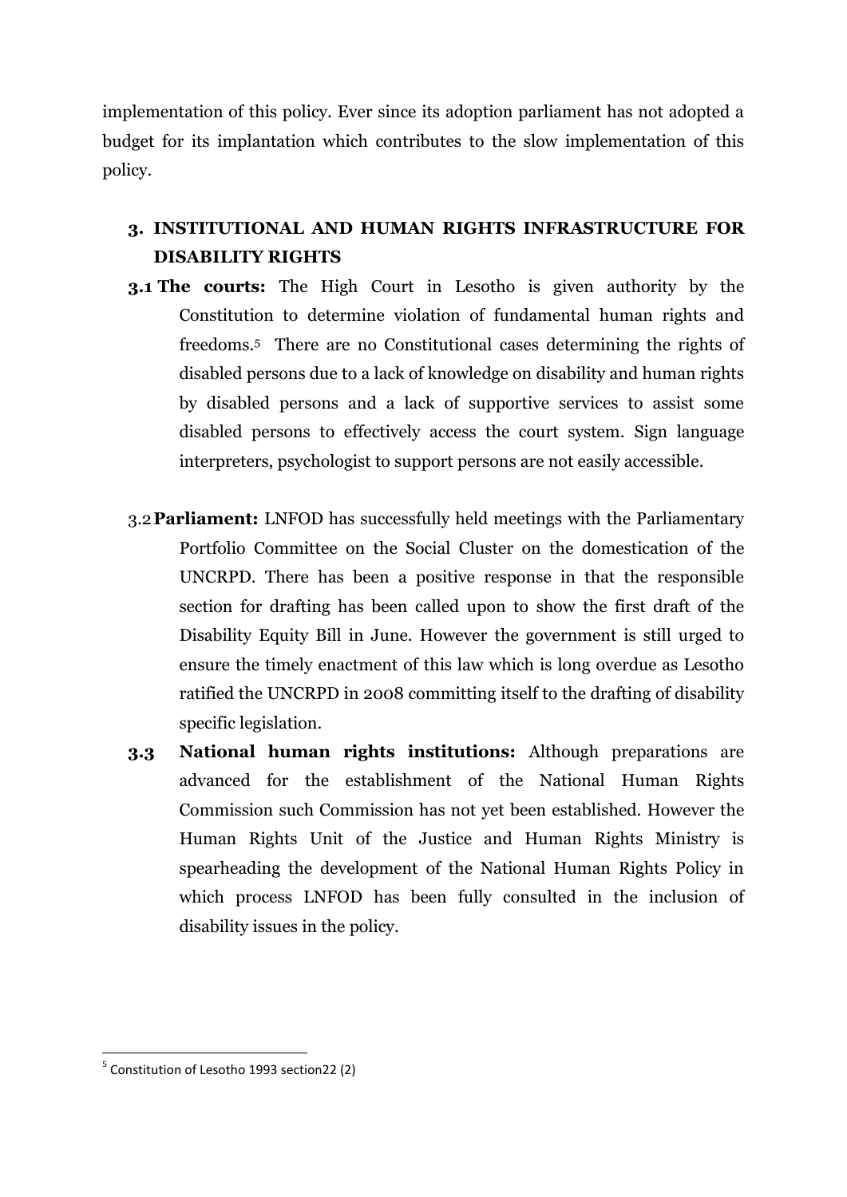implementation of this policy. Ever since its adoption parliament has not adopted a budget for its implantation which contributes to the slow implementation of this policy.

# **3. INSTITUTIONAL AND HUMAN RIGHTS INFRASTRUCTURE FOR DISABILITY RIGHTS**

- **3.1 The courts:** The High Court in Lesotho is given authority by the Constitution to determine violation of fundamental human rights and freedoms.<sup>5</sup> There are no Constitutional cases determining the rights of disabled persons due to a lack of knowledge on disability and human rights by disabled persons and a lack of supportive services to assist some disabled persons to effectively access the court system. Sign language interpreters, psychologist to support persons are not easily accessible.
- 3.2**Parliament:** LNFOD has successfully held meetings with the Parliamentary Portfolio Committee on the Social Cluster on the domestication of the UNCRPD. There has been a positive response in that the responsible section for drafting has been called upon to show the first draft of the Disability Equity Bill in June. However the government is still urged to ensure the timely enactment of this law which is long overdue as Lesotho ratified the UNCRPD in 2008 committing itself to the drafting of disability specific legislation.
- **3.3 National human rights institutions:** Although preparations are advanced for the establishment of the National Human Rights Commission such Commission has not yet been established. However the Human Rights Unit of the Justice and Human Rights Ministry is spearheading the development of the National Human Rights Policy in which process LNFOD has been fully consulted in the inclusion of disability issues in the policy.

1

<sup>&</sup>lt;sup>5</sup> Constitution of Lesotho 1993 section22 (2)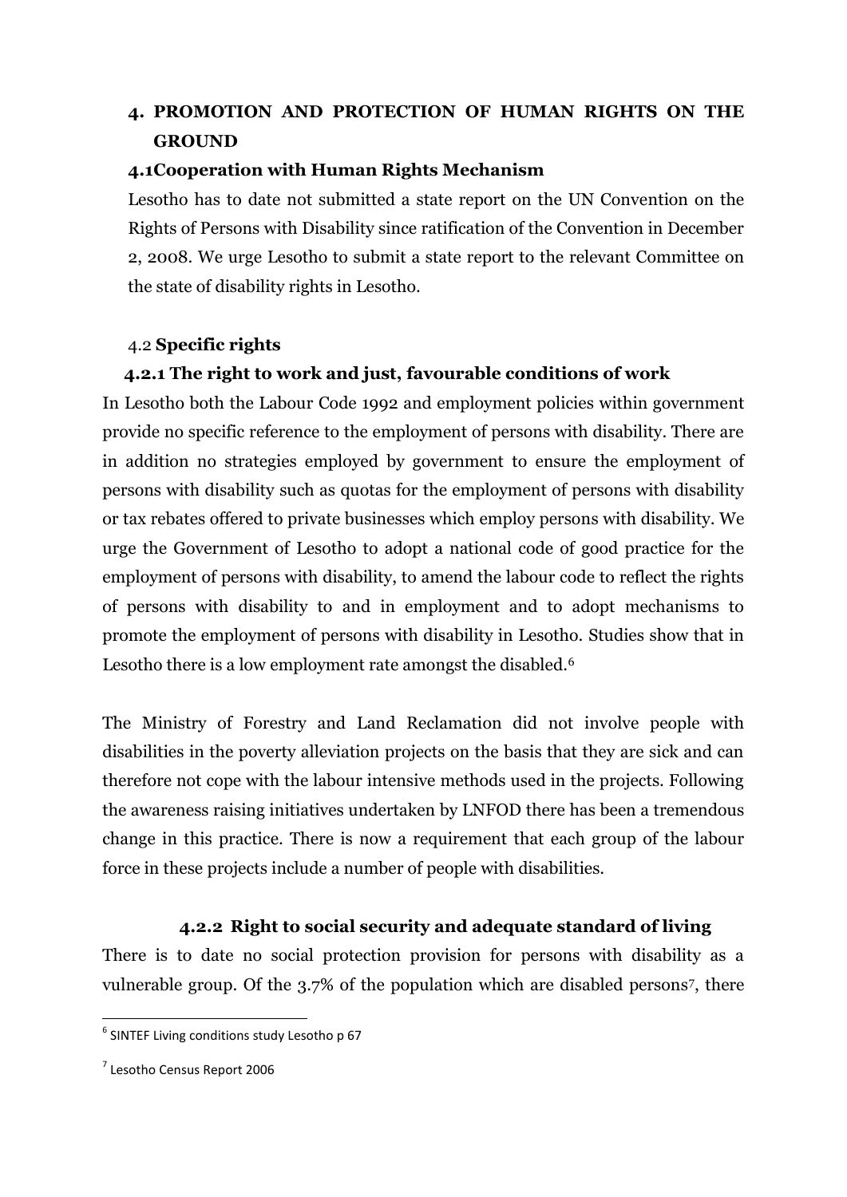# **4. PROMOTION AND PROTECTION OF HUMAN RIGHTS ON THE GROUND**

### **4.1Cooperation with Human Rights Mechanism**

Lesotho has to date not submitted a state report on the UN Convention on the Rights of Persons with Disability since ratification of the Convention in December 2, 2008. We urge Lesotho to submit a state report to the relevant Committee on the state of disability rights in Lesotho.

#### 4.2 **Specific rights**

### **4.2.1 The right to work and just, favourable conditions of work**

In Lesotho both the Labour Code 1992 and employment policies within government provide no specific reference to the employment of persons with disability. There are in addition no strategies employed by government to ensure the employment of persons with disability such as quotas for the employment of persons with disability or tax rebates offered to private businesses which employ persons with disability. We urge the Government of Lesotho to adopt a national code of good practice for the employment of persons with disability, to amend the labour code to reflect the rights of persons with disability to and in employment and to adopt mechanisms to promote the employment of persons with disability in Lesotho. Studies show that in Lesotho there is a low employment rate amongst the disabled.<sup>6</sup>

The Ministry of Forestry and Land Reclamation did not involve people with disabilities in the poverty alleviation projects on the basis that they are sick and can therefore not cope with the labour intensive methods used in the projects. Following the awareness raising initiatives undertaken by LNFOD there has been a tremendous change in this practice. There is now a requirement that each group of the labour force in these projects include a number of people with disabilities.

### **4.2.2 Right to social security and adequate standard of living**

There is to date no social protection provision for persons with disability as a vulnerable group. Of the 3.7% of the population which are disabled persons7, there

**.** 

<sup>&</sup>lt;sup>6</sup> SINTEF Living conditions study Lesotho p 67

<sup>&</sup>lt;sup>7</sup> Lesotho Census Report 2006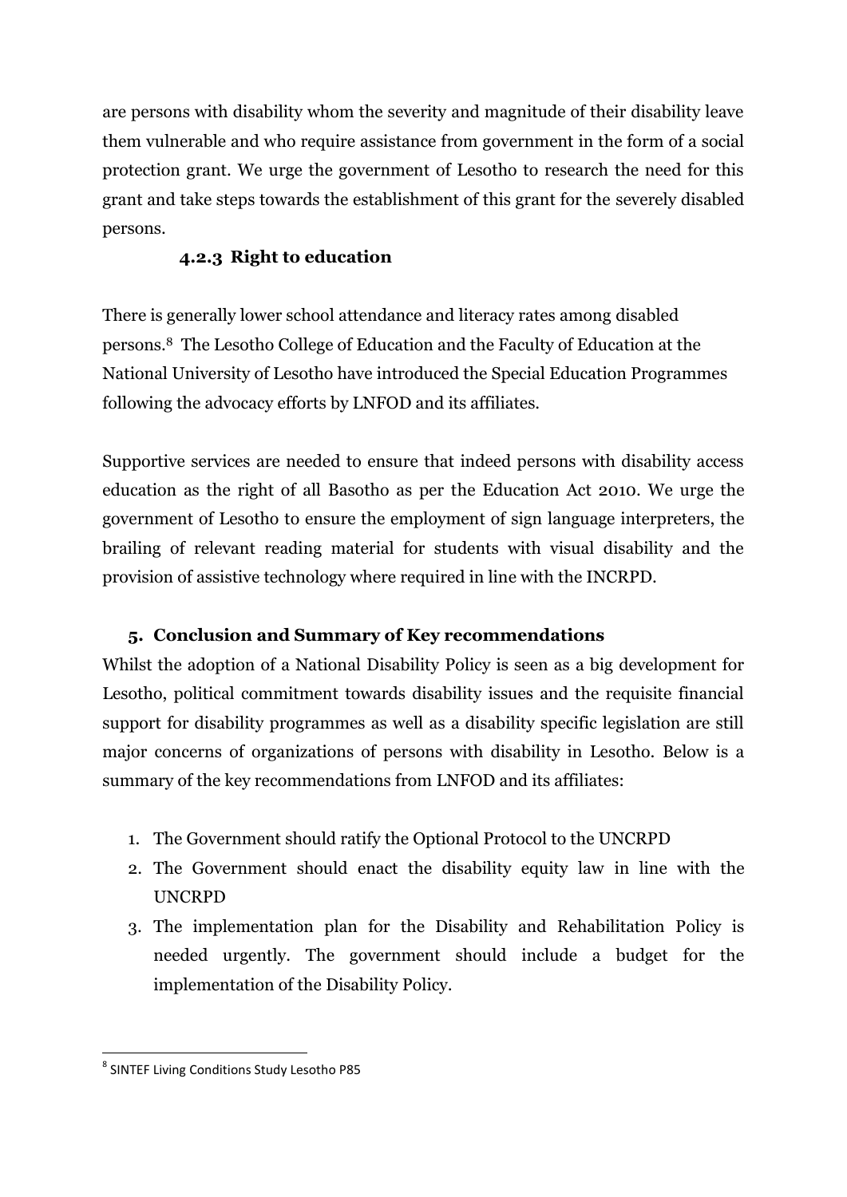are persons with disability whom the severity and magnitude of their disability leave them vulnerable and who require assistance from government in the form of a social protection grant. We urge the government of Lesotho to research the need for this grant and take steps towards the establishment of this grant for the severely disabled persons.

## **4.2.3 Right to education**

There is generally lower school attendance and literacy rates among disabled persons.<sup>8</sup> The Lesotho College of Education and the Faculty of Education at the National University of Lesotho have introduced the Special Education Programmes following the advocacy efforts by LNFOD and its affiliates.

Supportive services are needed to ensure that indeed persons with disability access education as the right of all Basotho as per the Education Act 2010. We urge the government of Lesotho to ensure the employment of sign language interpreters, the brailing of relevant reading material for students with visual disability and the provision of assistive technology where required in line with the INCRPD.

## **5. Conclusion and Summary of Key recommendations**

Whilst the adoption of a National Disability Policy is seen as a big development for Lesotho, political commitment towards disability issues and the requisite financial support for disability programmes as well as a disability specific legislation are still major concerns of organizations of persons with disability in Lesotho. Below is a summary of the key recommendations from LNFOD and its affiliates:

- 1. The Government should ratify the Optional Protocol to the UNCRPD
- 2. The Government should enact the disability equity law in line with the UNCRPD
- 3. The implementation plan for the Disability and Rehabilitation Policy is needed urgently. The government should include a budget for the implementation of the Disability Policy.

 8 SINTEF Living Conditions Study Lesotho P85